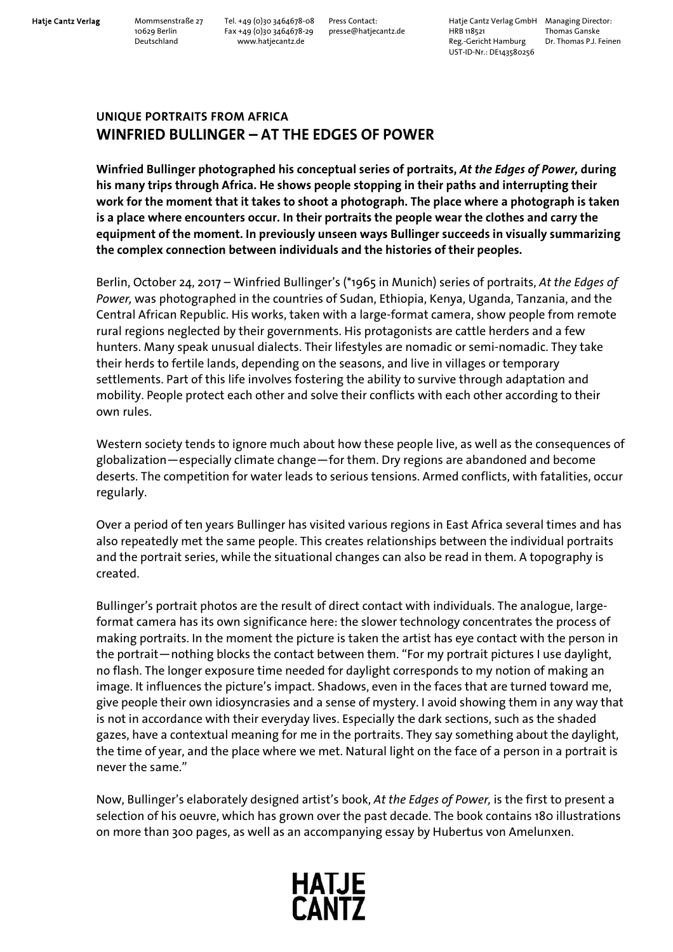Hatje Cantz Verlag Mommsenstraße 27 Tel. +49 (0)30 3464678-08 Press Contact: Hatje Cantz Verlag GmbH Managing Director:<br>10629 Berlin Fax +49 (0)30 3464678-29 presse@hatjecantz.de HRB 118521 Thomas Ganske 10629 Berlin Fax +49 (0)30 3464678-29 presse@hatjecantz.de HRB 118521 Thomas Ganske Reg.-Gericht Hamburg UST-ID-Nr.: DE143580256

## **UNIQUE PORTRAITS FROM AFRICA WINFRIED BULLINGER – AT THE EDGES OF POWER**

**Winfried Bullinger photographed his conceptual series of portraits,** *At the Edges of Power,* **during his many trips through Africa. He shows people stopping in their paths and interrupting their work for the moment that it takes to shoot a photograph. The place where a photograph is taken is a place where encounters occur. In their portraits the people wear the clothes and carry the equipment of the moment. In previously unseen ways Bullinger succeeds in visually summarizing the complex connection between individuals and the histories of their peoples.** 

Berlin, October 24, 2017 – Winfried Bullinger's (\*1965 in Munich) series of portraits, *At the Edges of Power,* was photographed in the countries of Sudan, Ethiopia, Kenya, Uganda, Tanzania, and the Central African Republic. His works, taken with a large-format camera, show people from remote rural regions neglected by their governments. His protagonists are cattle herders and a few hunters. Many speak unusual dialects. Their lifestyles are nomadic or semi-nomadic. They take their herds to fertile lands, depending on the seasons, and live in villages or temporary settlements. Part of this life involves fostering the ability to survive through adaptation and mobility. People protect each other and solve their conflicts with each other according to their own rules.

Western society tends to ignore much about how these people live, as well as the consequences of globalization—especially climate change—for them. Dry regions are abandoned and become deserts. The competition for water leads to serious tensions. Armed conflicts, with fatalities, occur regularly.

Over a period of ten years Bullinger has visited various regions in East Africa several times and has also repeatedly met the same people. This creates relationships between the individual portraits and the portrait series, while the situational changes can also be read in them. A topography is created.

Bullinger's portrait photos are the result of direct contact with individuals. The analogue, largeformat camera has its own significance here: the slower technology concentrates the process of making portraits. In the moment the picture is taken the artist has eye contact with the person in the portrait—nothing blocks the contact between them. "For my portrait pictures I use daylight, no flash. The longer exposure time needed for daylight corresponds to my notion of making an image. It influences the picture's impact. Shadows, even in the faces that are turned toward me, give people their own idiosyncrasies and a sense of mystery. I avoid showing them in any way that is not in accordance with their everyday lives. Especially the dark sections, such as the shaded gazes, have a contextual meaning for me in the portraits. They say something about the daylight, the time of year, and the place where we met. Natural light on the face of a person in a portrait is never the same."

Now, Bullinger's elaborately designed artist's book, *At the Edges of Power,* is the first to present a selection of his oeuvre, which has grown over the past decade. The book contains 180 illustrations on more than 300 pages, as well as an accompanying essay by Hubertus von Amelunxen.